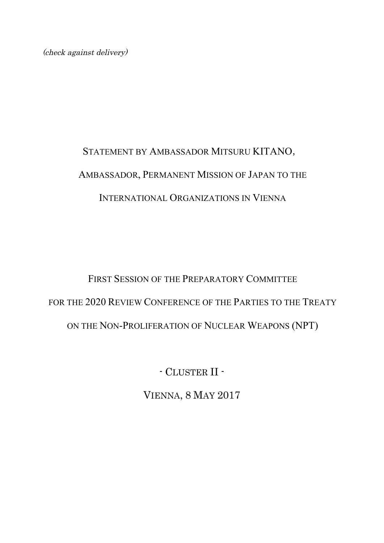(check against delivery)

## STATEMENT BY AMBASSADOR MITSURU KITANO, AMBASSADOR, PERMANENT MISSION OF JAPAN TO THE INTERNATIONAL ORGANIZATIONS IN VIENNA

## FIRST SESSION OF THE PREPARATORY COMMITTEE FOR THE 2020 REVIEW CONFERENCE OF THE PARTIES TO THE TREATY ON THE NON-PROLIFERATION OF NUCLEAR WEAPONS (NPT)

- CLUSTER II -

VIENNA, 8 MAY 2017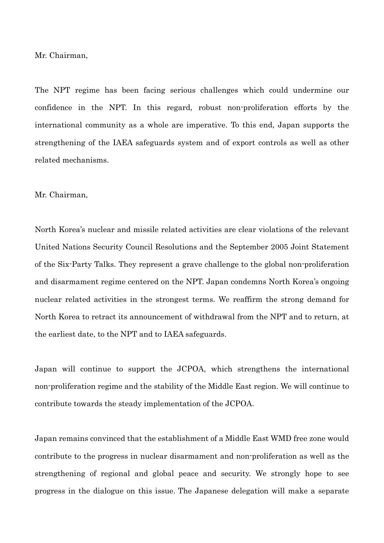Mr. Chairman,

The NPT regime has been facing serious challenges which could undermine our confidence in the NPT. In this regard, robust non-proliferation efforts by the international community as a whole are imperative. To this end, Japan supports the strengthening of the IAEA safeguards system and of export controls as well as other related mechanisms.

## Mr. Chairman,

North Korea's nuclear and missile related activities are clear violations of the relevant United Nations Security Council Resolutions and the September 2005 Joint Statement of the Six-Party Talks. They represent a grave challenge to the global non-proliferation and disarmament regime centered on the NPT. Japan condemns North Korea's ongoing nuclear related activities in the strongest terms. We reaffirm the strong demand for North Korea to retract its announcement of withdrawal from the NPT and to return, at the earliest date, to the NPT and to IAEA safeguards.

Japan will continue to support the JCPOA, which strengthens the international non-proliferation regime and the stability of the Middle East region. We will continue to contribute towards the steady implementation of the JCPOA.

Japan remains convinced that the establishment of a Middle East WMD free zone would contribute to the progress in nuclear disarmament and non-proliferation as well as the strengthening of regional and global peace and security. We strongly hope to see progress in the dialogue on this issue. The Japanese delegation will make a separate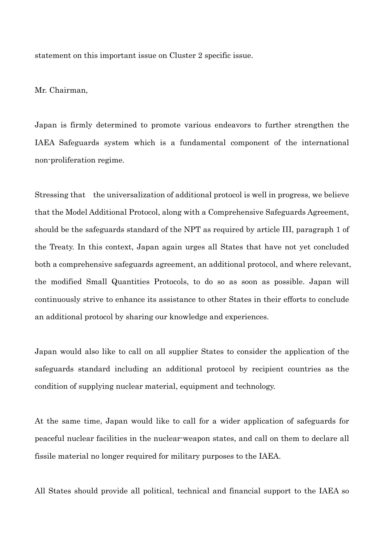statement on this important issue on Cluster 2 specific issue.

Mr. Chairman,

Japan is firmly determined to promote various endeavors to further strengthen the IAEA Safeguards system which is a fundamental component of the international non-proliferation regime.

Stressing that the universalization of additional protocol is well in progress, we believe that the Model Additional Protocol, along with a Comprehensive Safeguards Agreement, should be the safeguards standard of the NPT as required by article III, paragraph 1 of the Treaty. In this context, Japan again urges all States that have not yet concluded both a comprehensive safeguards agreement, an additional protocol, and where relevant, the modified Small Quantities Protocols, to do so as soon as possible. Japan will continuously strive to enhance its assistance to other States in their efforts to conclude an additional protocol by sharing our knowledge and experiences.

Japan would also like to call on all supplier States to consider the application of the safeguards standard including an additional protocol by recipient countries as the condition of supplying nuclear material, equipment and technology.

At the same time, Japan would like to call for a wider application of safeguards for peaceful nuclear facilities in the nuclear-weapon states, and call on them to declare all fissile material no longer required for military purposes to the IAEA.

All States should provide all political, technical and financial support to the IAEA so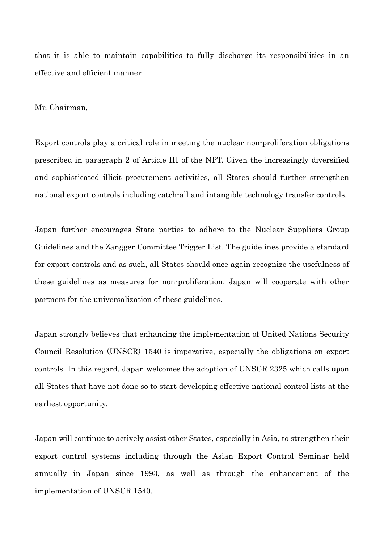that it is able to maintain capabilities to fully discharge its responsibilities in an effective and efficient manner.

Mr. Chairman,

Export controls play a critical role in meeting the nuclear non-proliferation obligations prescribed in paragraph 2 of Article III of the NPT. Given the increasingly diversified and sophisticated illicit procurement activities, all States should further strengthen national export controls including catch-all and intangible technology transfer controls.

Japan further encourages State parties to adhere to the Nuclear Suppliers Group Guidelines and the Zangger Committee Trigger List. The guidelines provide a standard for export controls and as such, all States should once again recognize the usefulness of these guidelines as measures for non-proliferation. Japan will cooperate with other partners for the universalization of these guidelines.

Japan strongly believes that enhancing the implementation of United Nations Security Council Resolution (UNSCR) 1540 is imperative, especially the obligations on export controls. In this regard, Japan welcomes the adoption of UNSCR 2325 which calls upon all States that have not done so to start developing effective national control lists at the earliest opportunity.

Japan will continue to actively assist other States, especially in Asia, to strengthen their export control systems including through the Asian Export Control Seminar held annually in Japan since 1993, as well as through the enhancement of the implementation of UNSCR 1540.